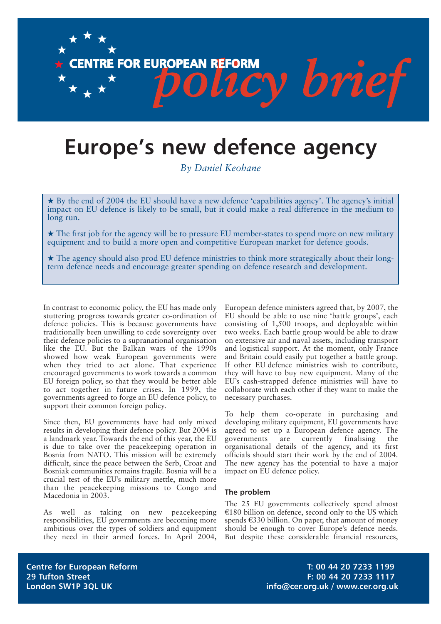# **Europe's new defence agency**

O LL

**CENTRE FOR EUROPEAN REFORM** 

*By Daniel Keohane*

 $\star$  By the end of 2004 the EU should have a new defence 'capabilities agency'. The agency's initial impact on EU defence is likely to be small, but it could make a real difference in the medium to long run.

★ The first job for the agency will be to pressure EU member-states to spend more on new military equipment and to build a more open and competitive European market for defence goods.

★ The agency should also prod EU defence ministries to think more strategically about their longterm defence needs and encourage greater spending on defence research and development.

In contrast to economic policy, the EU has made only stuttering progress towards greater co-ordination of defence policies. This is because governments have traditionally been unwilling to cede sovereignty over their defence policies to a supranational organisation like the EU. But the Balkan wars of the 1990s showed how weak European governments were when they tried to act alone. That experience encouraged governments to work towards a common EU foreign policy, so that they would be better able to act together in future crises. In 1999, the governments agreed to forge an EU defence policy, to support their common foreign policy.

Since then, EU governments have had only mixed results in developing their defence policy. But 2004 is a landmark year. Towards the end of this year, the EU is due to take over the peacekeeping operation in Bosnia from NATO. This mission will be extremely difficult, since the peace between the Serb, Croat and Bosniak communities remains fragile. Bosnia will be a crucial test of the EU's military mettle, much more than the peacekeeping missions to Congo and Macedonia in 2003.

As well as taking on new peacekeeping responsibilities, EU governments are becoming more ambitious over the types of soldiers and equipment they need in their armed forces. In April 2004,

European defence ministers agreed that, by 2007, the EU should be able to use nine 'battle groups', each consisting of 1,500 troops, and deployable within two weeks. Each battle group would be able to draw on extensive air and naval assets, including transport and logistical support. At the moment, only France and Britain could easily put together a battle group. If other EU defence ministries wish to contribute, they will have to buy new equipment. Many of the EU's cash-strapped defence ministries will have to collaborate with each other if they want to make the necessary purchases.

Ev brief

To help them co-operate in purchasing and developing military equipment, EU governments have agreed to set up a European defence agency. The governments are currently finalising the organisational details of the agency, and its first officials should start their work by the end of 2004. The new agency has the potential to have a major impact on EU defence policy.

#### **The problem**

The 25 EU governments collectively spend almost  $£180$  billion on defence, second only to the US which spends  $\epsilon$ 330 billion. On paper, that amount of money should be enough to cover Europe's defence needs. But despite these considerable financial resources,

**Centre for European Reform T: 00 44 20 7233 1199 29 Tufton Street F: 00 44 20 7233 1117 London SW1P 3QL UK info@cer.org.uk / www.cer.org.uk**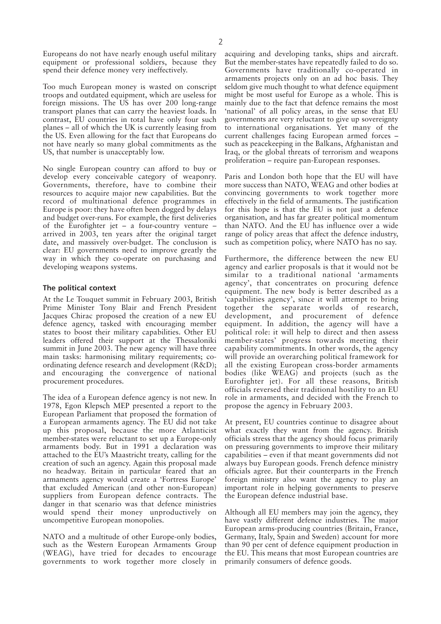Europeans do not have nearly enough useful military equipment or professional soldiers, because they spend their defence money very ineffectively.

Too much European money is wasted on conscript troops and outdated equipment, which are useless for foreign missions. The US has over 200 long-range transport planes that can carry the heaviest loads. In contrast, EU countries in total have only four such planes – all of which the UK is currently leasing from the US. Even allowing for the fact that Europeans do not have nearly so many global commitments as the US, that number is unacceptably low.

No single European country can afford to buy or develop every conceivable category of weaponry. Governments, therefore, have to combine their resources to acquire major new capabilities. But the record of multinational defence programmes in Europe is poor: they have often been dogged by delays and budget over-runs. For example, the first deliveries of the Eurofighter jet – a four-country venture – arrived in 2003, ten years after the original target date, and massively over-budget. The conclusion is clear: EU governments need to improve greatly the way in which they co-operate on purchasing and developing weapons systems.

#### **The political context**

At the Le Touquet summit in February 2003, British Prime Minister Tony Blair and French President Jacques Chirac proposed the creation of a new EU defence agency, tasked with encouraging member states to boost their military capabilities. Other EU leaders offered their support at the Thessaloniki summit in June 2003. The new agency will have three main tasks: harmonising military requirements; coordinating defence research and development (R&D); and encouraging the convergence of national procurement procedures.

The idea of a European defence agency is not new. In 1978, Egon Klepsch MEP presented a report to the European Parliament that proposed the formation of a European armaments agency. The EU did not take up this proposal, because the more Atlanticist member-states were reluctant to set up a Europe-only armaments body. But in 1991 a declaration was attached to the EU's Maastricht treaty, calling for the creation of such an agency. Again this proposal made no headway. Britain in particular feared that an armaments agency would create a 'Fortress Europe' that excluded American (and other non-European) suppliers from European defence contracts. The danger in that scenario was that defence ministries would spend their money unproductively on uncompetitive European monopolies.

NATO and a multitude of other Europe-only bodies, such as the Western European Armaments Group (WEAG), have tried for decades to encourage governments to work together more closely in acquiring and developing tanks, ships and aircraft. But the member-states have repeatedly failed to do so. Governments have traditionally co-operated in armaments projects only on an ad hoc basis. They seldom give much thought to what defence equipment might be most useful for Europe as a whole. This is mainly due to the fact that defence remains the most 'national' of all policy areas, in the sense that EU governments are very reluctant to give up sovereignty to international organisations. Yet many of the current challenges facing European armed forces – such as peacekeeping in the Balkans, Afghanistan and Iraq, or the global threats of terrorism and weapons proliferation – require pan-European responses.

Paris and London both hope that the EU will have more success than NATO, WEAG and other bodies at convincing governments to work together more effectively in the field of armaments. The justification for this hope is that the EU is not just a defence organisation, and has far greater political momentum than NATO. And the EU has influence over a wide range of policy areas that affect the defence industry, such as competition policy, where NATO has no say.

Furthermore, the difference between the new EU agency and earlier proposals is that it would not be similar to a traditional national 'armaments agency', that concentrates on procuring defence equipment. The new body is better described as a 'capabilities agency', since it will attempt to bring together the separate worlds of research, development, and procurement of defence equipment. In addition, the agency will have a political role: it will help to direct and then assess member-states' progress towards meeting their capability commitments. In other words, the agency will provide an overarching political framework for all the existing European cross-border armaments bodies (like WEAG) and projects (such as the Eurofighter jet). For all these reasons, British officials reversed their traditional hostility to an EU role in armaments, and decided with the French to propose the agency in February 2003.

At present, EU countries continue to disagree about what exactly they want from the agency. British officials stress that the agency should focus primarily on pressuring governments to improve their military capabilities – even if that meant governments did not always buy European goods. French defence ministry officials agree. But their counterparts in the French foreign ministry also want the agency to play an important role in helping governments to preserve the European defence industrial base.

Although all EU members may join the agency, they have vastly different defence industries. The major European arms-producing countries (Britain, France, Germany, Italy, Spain and Sweden) account for more than 90 per cent of defence equipment production in the EU. This means that most European countries are primarily consumers of defence goods.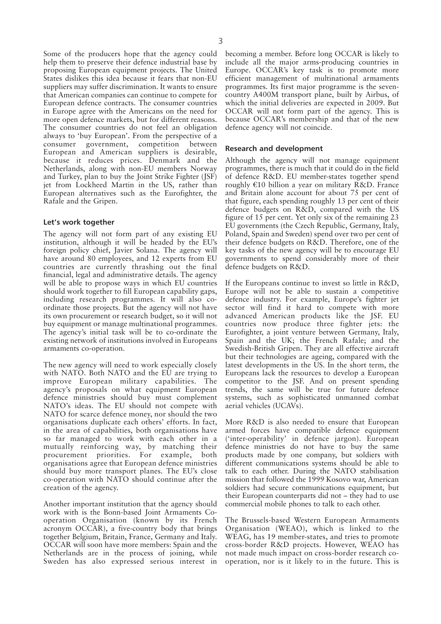Some of the producers hope that the agency could help them to preserve their defence industrial base by proposing European equipment projects. The United States dislikes this idea because it fears that non-EU suppliers may suffer discrimination. It wants to ensure that American companies can continue to compete for European defence contracts. The consumer countries in Europe agree with the Americans on the need for more open defence markets, but for different reasons. The consumer countries do not feel an obligation always to 'buy European'. From the perspective of a consumer government, competition between European and American suppliers is desirable, because it reduces prices. Denmark and the Netherlands, along with non-EU members Norway and Turkey, plan to buy the Joint Strike Fighter (JSF) jet from Lockheed Martin in the US, rather than European alternatives such as the Eurofighter, the Rafale and the Gripen.

#### **Let's work together**

The agency will not form part of any existing EU institution, although it will be headed by the EU's foreign policy chief, Javier Solana. The agency will have around 80 employees, and 12 experts from EU countries are currently thrashing out the final financial, legal and administrative details. The agency will be able to propose ways in which EU countries should work together to fill European capability gaps, including research programmes. It will also coordinate those projects. But the agency will not have its own procurement or research budget, so it will not buy equipment or manage multinational programmes. The agency's initial task will be to co-ordinate the existing network of institutions involved in Europeans armaments co-operation.

The new agency will need to work especially closely with NATO. Both NATO and the EU are trying to improve European military capabilities. The agency's proposals on what equipment European defence ministries should buy must complement NATO's ideas. The EU should not compete with NATO for scarce defence money, nor should the two organisations duplicate each others' efforts. In fact, in the area of capabilities, both organisations have so far managed to work with each other in a mutually reinforcing way, by matching their procurement priorities. For example, both organisations agree that European defence ministries should buy more transport planes. The EU's close co-operation with NATO should continue after the creation of the agency.

Another important institution that the agency should work with is the Bonn-based Joint Armaments Cooperation Organisation (known by its French acronym OCCAR), a five-country body that brings together Belgium, Britain, France, Germany and Italy. OCCAR will soon have more members: Spain and the Netherlands are in the process of joining, while Sweden has also expressed serious interest in

becoming a member. Before long OCCAR is likely to include all the major arms-producing countries in Europe. OCCAR's key task is to promote more efficient management of multinational armaments programmes. Its first major programme is the sevencountry A400M transport plane, built by Airbus, of which the initial deliveries are expected in 2009. But OCCAR will not form part of the agency. This is because OCCAR's membership and that of the new defence agency will not coincide.

#### **Research and development**

Although the agency will not manage equipment programmes, there is much that it could do in the field of defence R&D. EU member-states together spend roughly  $E10$  billion a year on military R&D. France and Britain alone account for about 75 per cent of that figure, each spending roughly 13 per cent of their defence budgets on R&D, compared with the US figure of 15 per cent. Yet only six of the remaining 23 EU governments (the Czech Republic, Germany, Italy, Poland, Spain and Sweden) spend over two per cent of their defence budgets on R&D. Therefore, one of the key tasks of the new agency will be to encourage EU governments to spend considerably more of their defence budgets on R&D.

If the Europeans continue to invest so little in R&D, Europe will not be able to sustain a competitive defence industry. For example, Europe's fighter jet sector will find it hard to compete with more advanced American products like the JSF. EU countries now produce three fighter jets: the Eurofighter, a joint venture between Germany, Italy, Spain and the UK; the French Rafale; and the Swedish-British Gripen. They are all effective aircraft but their technologies are ageing, compared with the latest developments in the US. In the short term, the Europeans lack the resources to develop a European competitor to the JSF. And on present spending trends, the same will be true for future defence systems, such as sophisticated unmanned combat aerial vehicles (UCAVs).

More R&D is also needed to ensure that European armed forces have compatible defence equipment ('inter-operability' in defence jargon). European defence ministries do not have to buy the same products made by one company, but soldiers with different communications systems should be able to talk to each other. During the NATO stabilisation mission that followed the 1999 Kosovo war, American soldiers had secure communications equipment, but their European counterparts did not – they had to use commercial mobile phones to talk to each other.

The Brussels-based Western European Armaments Organisation (WEAO), which is linked to the WEAG, has 19 member-states, and tries to promote cross-border R&D projects. However, WEAO has not made much impact on cross-border research cooperation, nor is it likely to in the future. This is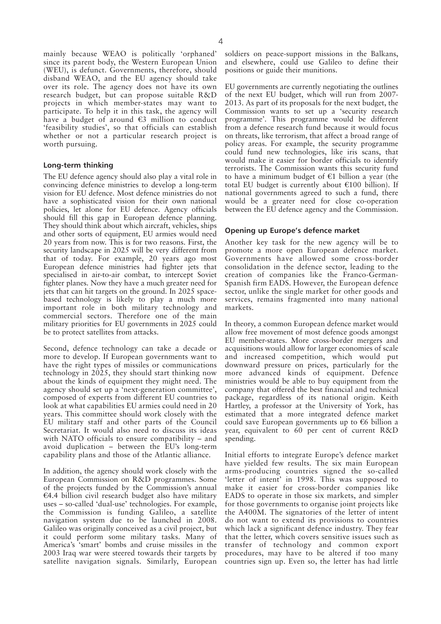mainly because WEAO is politically 'orphaned' since its parent body, the Western European Union (WEU), is defunct. Governments, therefore, should disband WEAO, and the EU agency should take over its role. The agency does not have its own research budget, but can propose suitable R&D projects in which member-states may want to participate. To help it in this task, the agency will have a budget of around  $\epsilon$ 3 million to conduct 'feasibility studies', so that officials can establish whether or not a particular research project is worth pursuing.

#### **Long-term thinking**

The EU defence agency should also play a vital role in convincing defence ministries to develop a long-term vision for EU defence. Most defence ministries do not have a sophisticated vision for their own national policies, let alone for EU defence. Agency officials should fill this gap in European defence planning. They should think about which aircraft, vehicles, ships and other sorts of equipment, EU armies would need 20 years from now. This is for two reasons. First, the security landscape in 2025 will be very different from that of today. For example, 20 years ago most European defence ministries had fighter jets that specialised in air-to-air combat, to intercept Soviet fighter planes. Now they have a much greater need for jets that can hit targets on the ground. In 2025 spacebased technology is likely to play a much more important role in both military technology and commercial sectors. Therefore one of the main military priorities for EU governments in 2025 could be to protect satellites from attacks.

Second, defence technology can take a decade or more to develop. If European governments want to have the right types of missiles or communications technology in 2025, they should start thinking now about the kinds of equipment they might need. The agency should set up a 'next-generation committee', composed of experts from different EU countries to look at what capabilities EU armies could need in 20 years. This committee should work closely with the EU military staff and other parts of the Council Secretariat. It would also need to discuss its ideas with NATO officials to ensure compatibility – and avoid duplication – between the EU's long-term capability plans and those of the Atlantic alliance.

In addition, the agency should work closely with the European Commission on R&D programmes. Some of the projects funded by the Commission's annual  $€4.4$  billion civil research budget also have military uses – so-called 'dual-use' technologies. For example, the Commission is funding Galileo, a satellite navigation system due to be launched in 2008. Galileo was originally conceived as a civil project, but it could perform some military tasks. Many of America's 'smart' bombs and cruise missiles in the 2003 Iraq war were steered towards their targets by satellite navigation signals. Similarly, European

soldiers on peace-support missions in the Balkans, and elsewhere, could use Galileo to define their positions or guide their munitions.

EU governments are currently negotiating the outlines of the next EU budget, which will run from 2007- 2013. As part of its proposals for the next budget, the Commission wants to set up a 'security research programme'. This programme would be different from a defence research fund because it would focus on threats, like terrorism, that affect a broad range of policy areas. For example, the security programme could fund new technologies, like iris scans, that would make it easier for border officials to identify terrorists. The Commission wants this security fund to have a minimum budget of  $E1$  billion a year (the total EU budget is currently about  $\epsilon$ 100 billion). If national governments agreed to such a fund, there would be a greater need for close co-operation between the EU defence agency and the Commission.

#### **Opening up Europe's defence market**

Another key task for the new agency will be to promote a more open European defence market. Governments have allowed some cross-border consolidation in the defence sector, leading to the creation of companies like the Franco-German-Spanish firm EADS. However, the European defence sector, unlike the single market for other goods and services, remains fragmented into many national markets.

In theory, a common European defence market would allow free movement of most defence goods amongst EU member-states. More cross-border mergers and acquisitions would allow for larger economies of scale and increased competition, which would put downward pressure on prices, particularly for the more advanced kinds of equipment. Defence ministries would be able to buy equipment from the company that offered the best financial and technical package, regardless of its national origin. Keith Hartley, a professor at the University of York, has estimated that a more integrated defence market could save European governments up to  $\epsilon$ 6 billion a year, equivalent to 60 per cent of current R&D spending.

Initial efforts to integrate Europe's defence market have yielded few results. The six main European arms-producing countries signed the so-called 'letter of intent' in 1998. This was supposed to make it easier for cross-border companies like EADS to operate in those six markets, and simpler for those governments to organise joint projects like the A400M. The signatories of the letter of intent do not want to extend its provisions to countries which lack a significant defence industry. They fear that the letter, which covers sensitive issues such as transfer of technology and common export procedures, may have to be altered if too many countries sign up. Even so, the letter has had little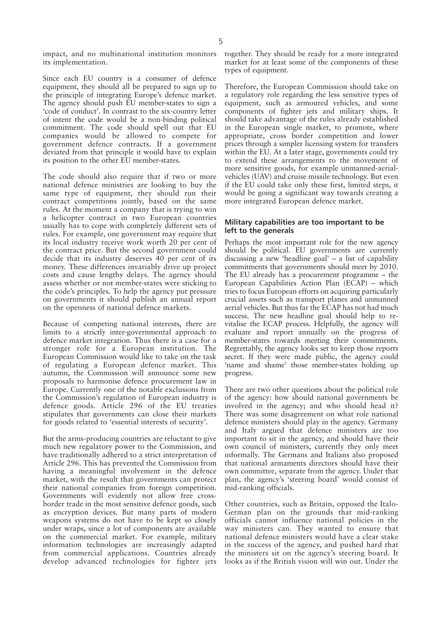impact, and no multinational institution monitors its implementation.

Since each EU country is a consumer of defence equipment, they should all be prepared to sign up to the principle of integrating Europe's defence market. The agency should push EU member-states to sign a 'code of conduct'. In contrast to the six-country letter of intent the code would be a non-binding political commitment. The code should spell out that EU companies would be allowed to compete for government defence contracts. If a government deviated from that principle it would have to explain its position to the other EU member-states.

The code should also require that if two or more national defence ministries are looking to buy the same type of equipment, they should run their contract competitions jointly, based on the same rules. At the moment a company that is trying to win a helicopter contract in two European countries usually has to cope with completely different sets of rules. For example, one government may require that its local industry receive work worth 20 per cent of the contract price. But the second government could decide that its industry deserves 40 per cent of its money. These differences invariably drive up project costs and cause lengthy delays. The agency should assess whether or not member-states were sticking to the code's principles. To help the agency put pressure on governments it should publish an annual report on the openness of national defence markets.

Because of competing national interests, there are limits to a strictly inter-governmental approach to defence market integration. Thus there is a case for a stronger role for a European institution. The European Commission would like to take on the task of regulating a European defence market. This autumn, the Commission will announce some new proposals to harmonise defence procurement law in Europe. Currently one of the notable exclusions from the Commission's regulation of European industry is defence goods. Article 296 of the EU treaties stipulates that governments can close their markets for goods related to 'essential interests of security'.

But the arms-producing countries are reluctant to give much new regulatory power to the Commission, and have traditionally adhered to a strict interpretation of Article 296. This has prevented the Commission from having a meaningful involvement in the defence market, with the result that governments can protect their national companies from foreign competition. Governments will evidently not allow free crossborder trade in the most sensitive defence goods, such as encryption devices. But many parts of modern weapons systems do not have to be kept so closely under wraps, since a lot of components are available on the commercial market. For example, military information technologies are increasingly adapted from commercial applications. Countries already develop advanced technologies for fighter jets

together. They should be ready for a more integrated market for at least some of the components of these types of equipment.

Therefore, the European Commission should take on a regulatory role regarding the less sensitive types of equipment, such as armoured vehicles, and some components of fighter jets and military ships. It should take advantage of the rules already established in the European single market, to promote, where appropriate, cross border competition and lower prices through a simpler licensing system for transfers within the EU. At a later stage, governments could try to extend these arrangements to the movement of more sensitive goods, for example unmanned-aerialvehicles (UAV) and cruise missile technology. But even if the EU could take only these first, limited steps, it would be going a significant way towards creating a more integrated European defence market.

#### **Military capabilities are too important to be left to the generals**

Perhaps the most important role for the new agency should be political. EU governments are currently discussing a new 'headline goal' – a list of capability commitments that governments should meet by 2010. The EU already has a procurement programme – the European Capabilities Action Plan (ECAP) – which tries to focus European efforts on acquiring particularly crucial assets such as transport planes and unmanned aerial vehicles. But thus far the ECAP has not had much success. The new headline goal should help to revitalise the ECAP process. Helpfully, the agency will evaluate and report annually on the progress of member-states towards meeting their commitments. Regrettably, the agency looks set to keep those reports secret. If they were made public, the agency could 'name and shame' those member-states holding up progress.

There are two other questions about the political role of the agency: how should national governments be involved in the agency; and who should head it? There was some disagreement on what role national defence ministers should play in the agency. Germany and Italy argued that defence ministers are too important to sit in the agency, and should have their own council of ministers, currently they only meet informally. The Germans and Italians also proposed that national armaments directors should have their own committee, separate from the agency. Under that plan, the agency's 'steering board' would consist of mid-ranking officials.

Other countries, such as Britain, opposed the Italo-German plan on the grounds that mid-ranking officials cannot influence national policies in the way ministers can. They wanted to ensure that national defence ministers would have a clear stake in the success of the agency, and pushed hard that the ministers sit on the agency's steering board. It looks as if the British vision will win out. Under the